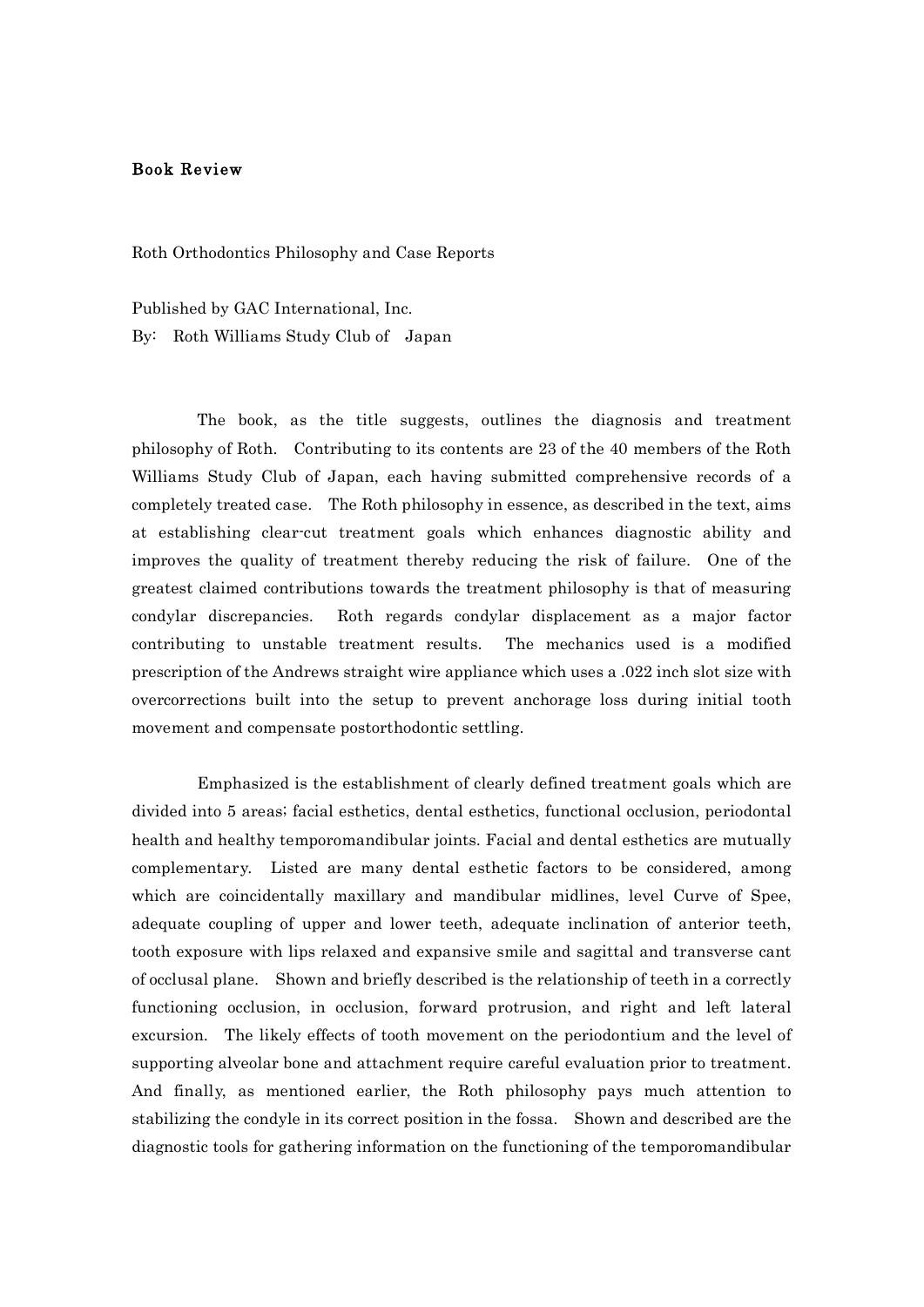## Book Review

Roth Orthodontics Philosophy and Case Reports

Published by GAC International, Inc. By: Roth Williams Study Club of Japan

The book, as the title suggests, outlines the diagnosis and treatment philosophy of Roth. Contributing to its contents are 23 of the 40 members of the Roth Williams Study Club of Japan, each having submitted comprehensive records of a completely treated case. The Roth philosophy in essence, as described in the text, aims at establishing clear-cut treatment goals which enhances diagnostic ability and improves the quality of treatment thereby reducing the risk of failure. One of the greatest claimed contributions towards the treatment philosophy is that of measuring condylar discrepancies. Roth regards condylar displacement as a major factor contributing to unstable treatment results. The mechanics used is a modified prescription of the Andrews straight wire appliance which uses a .022 inch slot size with overcorrections built into the setup to prevent anchorage loss during initial tooth movement and compensate postorthodontic settling.

Emphasized is the establishment of clearly defined treatment goals which are divided into 5 areas; facial esthetics, dental esthetics, functional occlusion, periodontal health and healthy temporomandibular joints. Facial and dental esthetics are mutually complementary. Listed are many dental esthetic factors to be considered, among which are coincidentally maxillary and mandibular midlines, level Curve of Spee, adequate coupling of upper and lower teeth, adequate inclination of anterior teeth, tooth exposure with lips relaxed and expansive smile and sagittal and transverse cant of occlusal plane. Shown and briefly described is the relationship of teeth in a correctly functioning occlusion, in occlusion, forward protrusion, and right and left lateral excursion. The likely effects of tooth movement on the periodontium and the level of supporting alveolar bone and attachment require careful evaluation prior to treatment. And finally, as mentioned earlier, the Roth philosophy pays much attention to stabilizing the condyle in its correct position in the fossa. Shown and described are the diagnostic tools for gathering information on the functioning of the temporomandibular